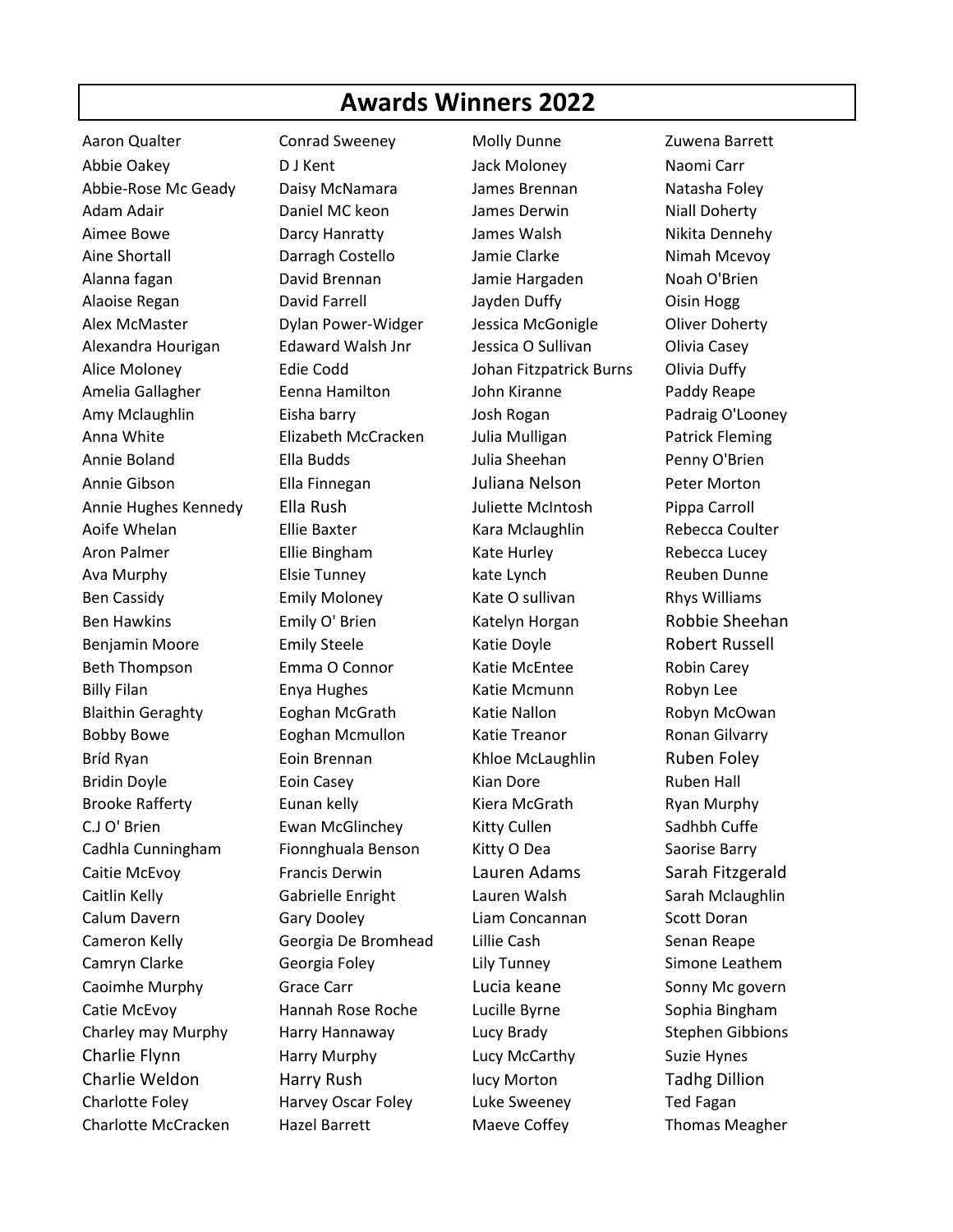## **Awards Winners 2022**

Aaron Qualter **Conrad Sweeney** Molly Dunne **Zuwena Barrett** Abbie Oakey D J Kent Jack Moloney Naomi Carr Abbie-Rose Mc Geady Daisy McNamara James Brennan Natasha Foley Adam Adair **Daniel MC keon** James Derwin Niall Doherty Aimee Bowe Darcy Hanratty James Walsh Nikita Dennehy Aine Shortall **Carragh Costello** Jamie Clarke Nimah Mcevoy Alanna fagan David Brennan Jamie Hargaden Noah O'Brien Alaoise Regan David Farrell Jayden Duffy Oisin Hogg Alex McMaster Dylan Power-Widger Jessica McGonigle Oliver Doherty Alexandra Hourigan and Edaward Walsh Jnr Malessica O Sullivan and Olivia Casey Alice Moloney Edie Codd Johan Fitzpatrick Burns Olivia Duffy Amelia Gallagher Eenna Hamilton John Kiranne Paddy Reape Amy Mclaughlin Eisha barry Josh Rogan Padraig O'Looney Anna White Elizabeth McCracken Julia Mulligan Patrick Fleming Annie Boland Ella Budds Julia Sheehan Penny O'Brien Annie Gibson Ella Finnegan Juliana Nelson Peter Morton Annie Hughes Kennedy Ella Rush Juliette McIntosh Pippa Carroll Aoife Whelan **Ellie Baxter** Kara Mclaughlin Rebecca Coulter Aron Palmer Ellie Bingham Kate Hurley Rebecca Lucey Ava Murphy Elsie Tunney kate Lynch Reuben Dunne Ben Cassidy **Emily Moloney Kate O sullivan** Rhys Williams Ben Hawkins **Emily O' Brien** Katelyn Horgan Robbie Sheehan Benjamin Moore **Emily Steele** Katie Doyle **Katie Robert Russell** Beth Thompson **Emma O Connor** Katie McEntee Robin Carey Billy Filan Enya Hughes Katie Mcmunn Robyn Lee Blaithin Geraghty **Eoghan McGrath** Katie Nallon Kabyn McOwan Bobby Bowe Eoghan Mcmullon Katie Treanor Ronan Gilvarry Bríd Ryan Eoin Brennan Khloe McLaughlin Ruben Foley Bridin Doyle **Eoin Casey Exam Exam Exam Exam Pore** Ruben Hall Brooke Rafferty **Eunan kelly** Kiera McGrath Ryan Murphy C.J O' Brien **Ewan McGlinchey** Kitty Cullen Sadhbh Cuffe Cadhla Cunningham Fionnghuala Benson Kitty O Dea Saorise Barry Caitie McEvoy **Francis Derwin** Lauren Adams Sarah Fitzgerald Caitlin Kelly Gabrielle Enright Lauren Walsh Sarah Mclaughlin Calum Davern Gary Dooley Liam Concannan Scott Doran Cameron Kelly Georgia De Bromhead Lillie Cash Senan Reape Camryn Clarke Georgia Foley Lily Tunney Simone Leathem Caoimhe Murphy **Grace Carr Cannel Caoimhe Murphy** Grace Carr **Lucia keane** Sonny Mc govern Catie McEvoy Hannah Rose Roche Lucille Byrne Sophia Bingham Charley may Murphy Harry Hannaway Lucy Brady Stephen Gibbions Charlie Flynn Harry Murphy Lucy McCarthy Suzie Hynes Charlie Weldon Harry Rush lucy Morton Tadhg Dillion Charlotte Foley **Franklubs** Harvey Oscar Foley Luke Sweeney **Franklubs** Ted Fagan

Charlotte McCracken Hazel Barrett Maeve Coffey Thomas Meagher